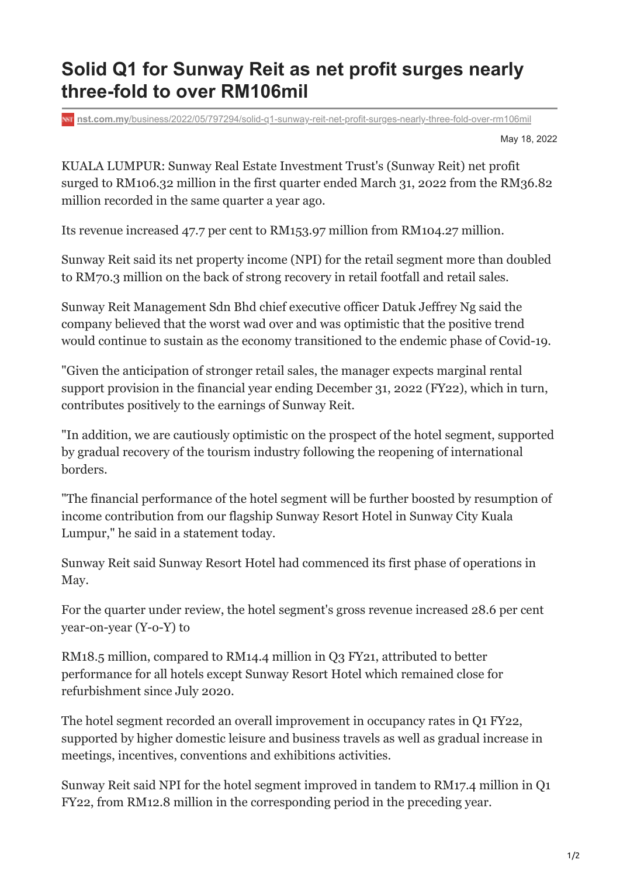## **Solid Q1 for Sunway Reit as net profit surges nearly three-fold to over RM106mil**

**nst.com.my**[/business/2022/05/797294/solid-q1-sunway-reit-net-profit-surges-nearly-three-fold-over-rm106mil](https://www.nst.com.my/business/2022/05/797294/solid-q1-sunway-reit-net-profit-surges-nearly-three-fold-over-rm106mil)

May 18, 2022

KUALA LUMPUR: Sunway Real Estate Investment Trust's (Sunway Reit) net profit surged to RM106.32 million in the first quarter ended March 31, 2022 from the RM36.82 million recorded in the same quarter a year ago.

Its revenue increased 47.7 per cent to RM153.97 million from RM104.27 million.

Sunway Reit said its net property income (NPI) for the retail segment more than doubled to RM70.3 million on the back of strong recovery in retail footfall and retail sales.

Sunway Reit Management Sdn Bhd chief executive officer Datuk Jeffrey Ng said the company believed that the worst wad over and was optimistic that the positive trend would continue to sustain as the economy transitioned to the endemic phase of Covid-19.

"Given the anticipation of stronger retail sales, the manager expects marginal rental support provision in the financial year ending December 31, 2022 (FY22), which in turn, contributes positively to the earnings of Sunway Reit.

"In addition, we are cautiously optimistic on the prospect of the hotel segment, supported by gradual recovery of the tourism industry following the reopening of international borders.

"The financial performance of the hotel segment will be further boosted by resumption of income contribution from our flagship Sunway Resort Hotel in Sunway City Kuala Lumpur," he said in a statement today.

Sunway Reit said Sunway Resort Hotel had commenced its first phase of operations in May.

For the quarter under review, the hotel segment's gross revenue increased 28.6 per cent year-on-year (Y-o-Y) to

RM18.5 million, compared to RM14.4 million in Q3 FY21, attributed to better performance for all hotels except Sunway Resort Hotel which remained close for refurbishment since July 2020.

The hotel segment recorded an overall improvement in occupancy rates in Q1 FY22, supported by higher domestic leisure and business travels as well as gradual increase in meetings, incentives, conventions and exhibitions activities.

Sunway Reit said NPI for the hotel segment improved in tandem to RM17.4 million in Q1 FY22, from RM12.8 million in the corresponding period in the preceding year.